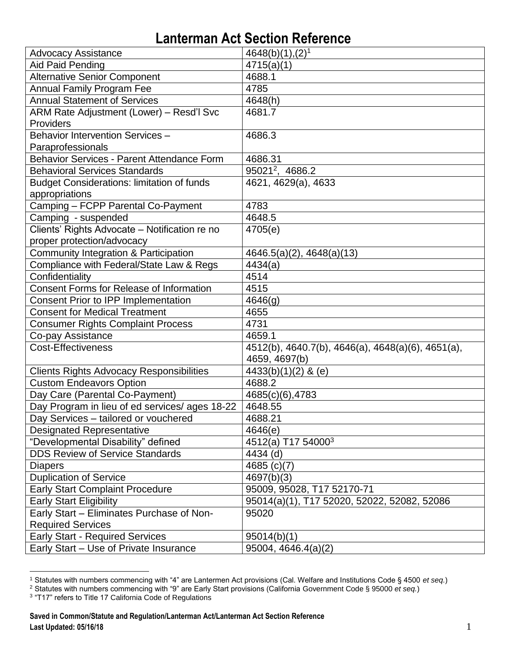| <b>Advocacy Assistance</b>                        | $4648(b)(1),(2)^1$                                |
|---------------------------------------------------|---------------------------------------------------|
| Aid Paid Pending                                  | 4715(a)(1)                                        |
| <b>Alternative Senior Component</b>               | 4688.1                                            |
| <b>Annual Family Program Fee</b>                  | 4785                                              |
| <b>Annual Statement of Services</b>               | 4648(h)                                           |
| ARM Rate Adjustment (Lower) - Resd'l Svc          | 4681.7                                            |
| Providers                                         |                                                   |
| Behavior Intervention Services -                  | 4686.3                                            |
| Paraprofessionals                                 |                                                   |
| Behavior Services - Parent Attendance Form        | 4686.31                                           |
| <b>Behavioral Services Standards</b>              | 95021 <sup>2</sup> , 4686.2                       |
| <b>Budget Considerations: limitation of funds</b> | 4621, 4629(a), 4633                               |
| appropriations                                    |                                                   |
| Camping - FCPP Parental Co-Payment                | 4783                                              |
| Camping - suspended                               | 4648.5                                            |
| Clients' Rights Advocate - Notification re no     | 4705(e)                                           |
| proper protection/advocacy                        |                                                   |
| Community Integration & Participation             | $4646.5(a)(2)$ , $4648(a)(13)$                    |
| Compliance with Federal/State Law & Regs          | 4434(a)                                           |
| Confidentiality                                   | 4514                                              |
| <b>Consent Forms for Release of Information</b>   | 4515                                              |
| Consent Prior to IPP Implementation               | 4646(g)                                           |
| <b>Consent for Medical Treatment</b>              | 4655                                              |
| <b>Consumer Rights Complaint Process</b>          | 4731                                              |
| Co-pay Assistance                                 | 4659.1                                            |
| <b>Cost-Effectiveness</b>                         | 4512(b), 4640.7(b), 4646(a), 4648(a)(6), 4651(a), |
|                                                   | 4659, 4697(b)                                     |
| <b>Clients Rights Advocacy Responsibilities</b>   | 4433(b)(1)(2) & (e)                               |
| Custom Endeavors Option                           | 4688.2                                            |
| Day Care (Parental Co-Payment)                    | 4685(c)(6),4783                                   |
| Day Program in lieu of ed services/ ages 18-22    | 4648.55                                           |
| Day Services - tailored or vouchered              | 4688.21                                           |
| <b>Designated Representative</b>                  | 4646(e)                                           |
| "Developmental Disability" defined                | 4512(a) T17 54000 <sup>3</sup>                    |
| <b>DDS Review of Service Standards</b>            | 4434 (d)                                          |
| <b>Diapers</b>                                    | 4685 (c)(7)                                       |
| <b>Duplication of Service</b>                     | 4697(b)(3)                                        |
| <b>Early Start Complaint Procedure</b>            | 95009, 95028, T17 52170-71                        |
| <b>Early Start Eligibility</b>                    | 95014(a)(1), T17 52020, 52022, 52082, 52086       |
| Early Start - Eliminates Purchase of Non-         | 95020                                             |
| <b>Required Services</b>                          |                                                   |
| <b>Early Start - Required Services</b>            | 95014(b)(1)                                       |
| Early Start - Use of Private Insurance            | 95004, 4646.4(a)(2)                               |

 $\overline{a}$ <sup>1</sup> Statutes with numbers commencing with "4" are Lantermen Act provisions (Cal. Welfare and Institutions Code § 4500 *et seq.*)

<sup>&</sup>lt;sup>2</sup> Statutes with numbers commencing with "9" are Early Start provisions (California Government Code § 95000 *et seq.*)<br><sup>3</sup> "T17" refers to Title 17 California Code of Regulations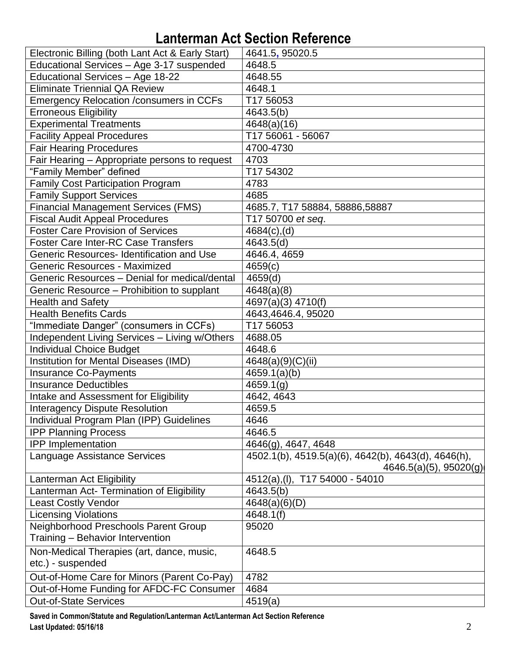| Electronic Billing (both Lant Act & Early Start) | 4641.5, 95020.5                                                                    |
|--------------------------------------------------|------------------------------------------------------------------------------------|
| Educational Services - Age 3-17 suspended        | 4648.5                                                                             |
| Educational Services - Age 18-22                 | 4648.55                                                                            |
| <b>Eliminate Triennial QA Review</b>             | 4648.1                                                                             |
| <b>Emergency Relocation /consumers in CCFs</b>   | T17 56053                                                                          |
| <b>Erroneous Eligibility</b>                     | 4643.5(b)                                                                          |
| <b>Experimental Treatments</b>                   | 4648(a)(16)                                                                        |
| <b>Facility Appeal Procedures</b>                | T17 56061 - 56067                                                                  |
| <b>Fair Hearing Procedures</b>                   | 4700-4730                                                                          |
| Fair Hearing - Appropriate persons to request    | 4703                                                                               |
| "Family Member" defined                          | T17 54302                                                                          |
| <b>Family Cost Participation Program</b>         | 4783                                                                               |
| <b>Family Support Services</b>                   | 4685                                                                               |
| <b>Financial Management Services (FMS)</b>       | 4685.7, T17 58884, 58886, 58887                                                    |
| <b>Fiscal Audit Appeal Procedures</b>            | T17 50700 et seq.                                                                  |
| <b>Foster Care Provision of Services</b>         | $4684(c)$ , (d)                                                                    |
| <b>Foster Care Inter-RC Case Transfers</b>       | 4643.5(d)                                                                          |
| Generic Resources- Identification and Use        | 4646.4, 4659                                                                       |
| <b>Generic Resources - Maximized</b>             | 4659(c)                                                                            |
| Generic Resources - Denial for medical/dental    | 4659(d)                                                                            |
| Generic Resource – Prohibition to supplant       | 4648(a)(8)                                                                         |
| <b>Health and Safety</b>                         | 4697(a)(3) 4710(f)                                                                 |
| <b>Health Benefits Cards</b>                     | 4643,4646.4, 95020                                                                 |
| "Immediate Danger" (consumers in CCFs)           | T17 56053                                                                          |
| Independent Living Services - Living w/Others    | 4688.05                                                                            |
| <b>Individual Choice Budget</b>                  | 4648.6                                                                             |
| Institution for Mental Diseases (IMD)            | 4648(a)(9)(C)(ii)                                                                  |
| <b>Insurance Co-Payments</b>                     | 4659.1(a)(b)                                                                       |
| <b>Insurance Deductibles</b>                     | 4659.1(g)                                                                          |
| <b>Intake and Assessment for Eligibility</b>     | 4642, 4643                                                                         |
| <b>Interagency Dispute Resolution</b>            | 4659.5                                                                             |
| Individual Program Plan (IPP) Guidelines         | 4646                                                                               |
| <b>IPP Planning Process</b>                      | 4646.5                                                                             |
| <b>IPP</b> Implementation                        | 4646(g), 4647, 4648                                                                |
| Language Assistance Services                     | 4502.1(b), 4519.5(a)(6), 4642(b), 4643(d), 4646(h),<br>$4646.5(a)(5)$ , $95020(g)$ |
| Lanterman Act Eligibility                        | 4512(a), (I), T17 54000 - 54010                                                    |
| Lanterman Act- Termination of Eligibility        | 4643.5(b)                                                                          |
| <b>Least Costly Vendor</b>                       | 4648(a)(6)(D)                                                                      |
| <b>Licensing Violations</b>                      | 4648.1(f)                                                                          |
| Neighborhood Preschools Parent Group             | 95020                                                                              |
| Training - Behavior Intervention                 |                                                                                    |
| Non-Medical Therapies (art, dance, music,        | 4648.5                                                                             |
| etc.) - suspended                                |                                                                                    |
| Out-of-Home Care for Minors (Parent Co-Pay)      | 4782                                                                               |
| Out-of-Home Funding for AFDC-FC Consumer         | 4684                                                                               |
| <b>Out-of-State Services</b>                     | 4519(a)                                                                            |

**Saved in Common/Statute and Regulation/Lanterman Act/Lanterman Act Section Reference Last Updated: 05/16/18** 2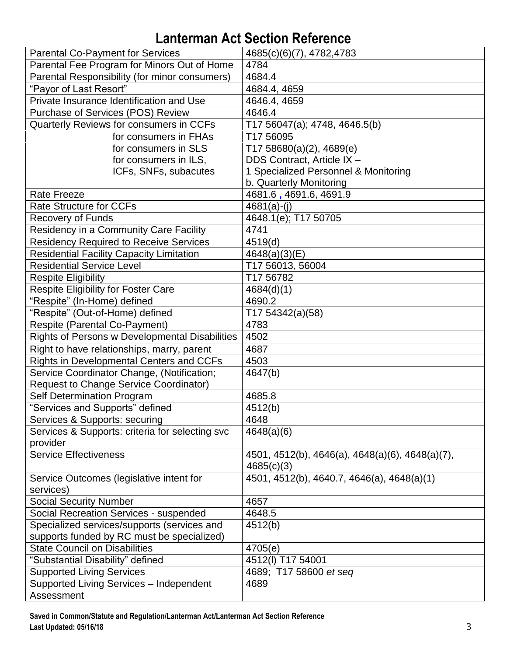| <b>Parental Co-Payment for Services</b>                     | 4685(c)(6)(7), 4782, 4783                                     |
|-------------------------------------------------------------|---------------------------------------------------------------|
| Parental Fee Program for Minors Out of Home                 | 4784                                                          |
| Parental Responsibility (for minor consumers)               | 4684.4                                                        |
| "Payor of Last Resort"                                      | 4684.4, 4659                                                  |
| Private Insurance Identification and Use                    | 4646.4, 4659                                                  |
| Purchase of Services (POS) Review                           | 4646.4                                                        |
| Quarterly Reviews for consumers in CCFs                     | T17 56047(a); 4748, 4646.5(b)                                 |
| for consumers in FHAs                                       | T17 56095                                                     |
| for consumers in SLS                                        | T17 58680(a)(2), 4689(e)                                      |
| for consumers in ILS,                                       | DDS Contract, Article IX -                                    |
| ICFs, SNFs, subacutes                                       | 1 Specialized Personnel & Monitoring                          |
|                                                             | b. Quarterly Monitoring                                       |
| <b>Rate Freeze</b>                                          | 4681.6, 4691.6, 4691.9                                        |
| <b>Rate Structure for CCFs</b>                              | $4681(a)-(i)$                                                 |
| <b>Recovery of Funds</b>                                    | 4648.1(e); T17 50705                                          |
| Residency in a Community Care Facility                      | 4741                                                          |
| <b>Residency Required to Receive Services</b>               | 4519(d)                                                       |
| <b>Residential Facility Capacity Limitation</b>             | 4648(a)(3)(E)                                                 |
| <b>Residential Service Level</b>                            | T17 56013, 56004                                              |
| <b>Respite Eligibility</b>                                  | T17 56782                                                     |
| <b>Respite Eligibility for Foster Care</b>                  | 4684(d)(1)                                                    |
| "Respite" (In-Home) defined                                 | 4690.2                                                        |
| "Respite" (Out-of-Home) defined                             | T17 54342(a)(58)                                              |
| Respite (Parental Co-Payment)                               | 4783                                                          |
| Rights of Persons w Developmental Disabilities              | 4502                                                          |
| Right to have relationships, marry, parent                  | 4687                                                          |
| Rights in Developmental Centers and CCFs                    | 4503                                                          |
| Service Coordinator Change, (Notification;                  | 4647(b)                                                       |
| <b>Request to Change Service Coordinator)</b>               |                                                               |
| <b>Self Determination Program</b>                           | 4685.8                                                        |
| "Services and Supports" defined                             | 4512(b)                                                       |
| Services & Supports: securing                               | 4648                                                          |
| Services & Supports: criteria for selecting svc<br>provider | 4648(a)(6)                                                    |
| <b>Service Effectiveness</b>                                | 4501, 4512(b), 4646(a), 4648(a)(6), 4648(a)(7),<br>4685(c)(3) |
| Service Outcomes (legislative intent for                    | 4501, 4512(b), 4640.7, 4646(a), 4648(a)(1)                    |
| services)                                                   |                                                               |
| <b>Social Security Number</b>                               | 4657                                                          |
| Social Recreation Services - suspended                      | 4648.5                                                        |
| Specialized services/supports (services and                 | 4512(b)                                                       |
| supports funded by RC must be specialized)                  |                                                               |
| <b>State Council on Disabilities</b>                        | 4705(e)                                                       |
| "Substantial Disability" defined                            | 4512(I) T17 54001                                             |
| <b>Supported Living Services</b>                            | 4689; T17 58600 et seq                                        |
| Supported Living Services - Independent                     | 4689                                                          |
| Assessment                                                  |                                                               |